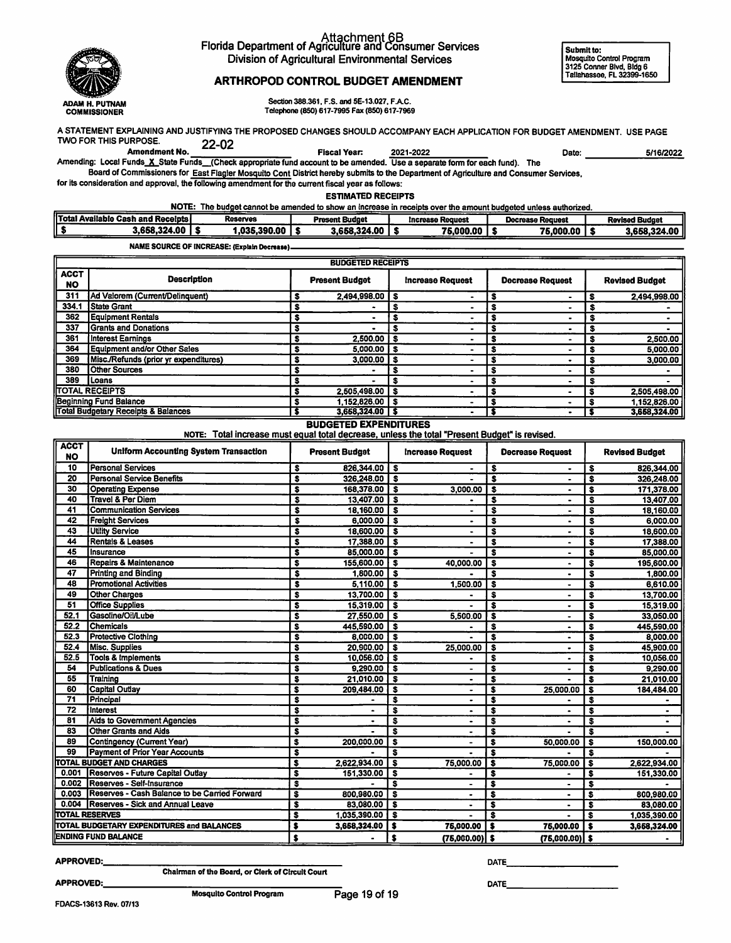

## Attachment 6B<br>Florida Department of Agriculture and Consumer Services Division of Agricultural Environmental Services

Submit to: Mosquito Control Program 3125 Conner Blvd. BIdg 6 Tallahassee, FL 32399-1650

### ARTHROPOD CONTROL BUDGET AMENDMENT

Section 388.361, F.S. and 5E-13.027, F.A.C. Telephone (850) 617-7995 Fax (850) 617-7969

A STATEMENT EXPLAINING AND JUSTIFYING THE PROPOSED CHANGES SHOULD ACCOMPANY EACH APPLICATION FOR BUDGET AMENDMENT. USE PAGE TWO FOR THIS PURPOSE.<br>Amendment No. 22-02

Amending: Local Funds X State Funds (Check appropriate fund account to be amended. Use a separate form for each fund). The<br>Amending: Local Funds X State Funds (Check appropriate fund account to be amended. Use a separate f Board of Commissioners for East Fiagler Mosquito Cont District hereby submits to the Department of Agnculture and Consumer Services,

for its consideration and approval, the following amendment for the current fiscal year as follows:

ESTIMATED RECEIPTS

NOTE: The budget cannot be amended to show an increase in receipts over the amount budgeted unless authorized.

| <b>Total Available Cash and Recelpts</b> | Reserves    | Present Budget | <b>1crease Request</b> | Decrease Request | <b>Revised Budget</b> |
|------------------------------------------|-------------|----------------|------------------------|------------------|-----------------------|
| 868.324.00.                              | ,035,390.00 | 3.658.324.00   | 75,000.00              | 75,000.00        | 3,658,324.00          |

NAME SOURCE OF INCREASE: (Explain Decrease).

| <b>BUDGETED RECEIPTS</b> |                                                |                       |                     |                         |   |                         |   |                       |              |
|--------------------------|------------------------------------------------|-----------------------|---------------------|-------------------------|---|-------------------------|---|-----------------------|--------------|
| <b>ACCT</b><br><b>NO</b> | <b>Description</b>                             | <b>Present Budget</b> |                     | <b>Increase Request</b> |   | <b>Decrease Request</b> |   | <b>Revised Budget</b> |              |
| 311                      | <b>Ad Valorem (Current/Delinquent)</b>         |                       | 2,494,998.00        |                         |   |                         | - |                       | 2.494.998.00 |
| 334.1                    | <b>State Grant</b>                             |                       |                     |                         |   |                         |   |                       |              |
| 362                      | Equipment Rentals                              |                       |                     |                         |   |                         |   |                       |              |
| 337                      | Grants and Donations                           |                       |                     |                         |   |                         |   | -5                    |              |
| 361                      | Interest Earnings                              |                       | $2,500.00$   \$     |                         |   |                         |   | - 5                   | 2,500.00     |
| 364                      | <b>Equipment and/or Other Sales</b>            |                       | $5,000.00$   \$     |                         |   |                         |   |                       | 5,000.00     |
| 369                      | Misc./Refunds (prior yr expenditures)          |                       | $3,000.00$   \$     |                         |   |                         |   |                       | 3,000.00     |
| 380                      | <b>Other Sources</b>                           |                       |                     | s                       |   |                         |   |                       |              |
| 389                      | <b>ILoans</b>                                  |                       |                     |                         |   |                         |   |                       |              |
|                          | TOTAL RECEIPTS                                 |                       | $2,505,498.00$ \ \$ |                         |   |                         |   |                       | 2,505,498.00 |
|                          | Beginning Fund Balance                         |                       | $1,152,826.00$ \ \$ |                         | - |                         |   |                       | 1,152,826.00 |
|                          | <b>Total Budgetary Receipts &amp; Balances</b> |                       | $3,668,324.00$   \$ |                         |   |                         |   |                       | 3,668,324.00 |

#### BUDGETED EXPENDITURES

NOTE: Total increase must equal total decrease, unless the total "Present Budget" is revised.

| <b>ACCT</b><br><b>NO</b> | <b>Uniform Accounting System Transaction</b>  |                         | <b>Present Budget</b> |                         | <b>Increase Request</b> |                         | <b>Decrease Request</b>  |                         | <b>Revised Budget</b> |  |
|--------------------------|-----------------------------------------------|-------------------------|-----------------------|-------------------------|-------------------------|-------------------------|--------------------------|-------------------------|-----------------------|--|
| 10                       | <b>Personal Services</b>                      | s                       | 826,344.00            | ⊺\$                     |                         | \$                      | $\blacksquare$           | S                       | 826,344.00            |  |
| 20                       | <b>Personal Service Benefits</b>              | $\overline{\mathbf{s}}$ | 326,248.00            | $\overline{\mathbf{s}}$ |                         | $\overline{\mathbf{s}}$ | $\blacksquare$           | $\overline{\mathbf{s}}$ | 326,248.00            |  |
| 30                       | <b>Operating Expense</b>                      | $\overline{\mathbf{s}}$ | 168,378.00            | <b>S</b>                | 3,000.00                | $\overline{\mathbf{s}}$ | $\blacksquare$           | $\overline{\mathbf{s}}$ | 171,378.00            |  |
| 40                       | <b>Travel &amp; Per Diem</b>                  | S                       | 13,407.00             | $\overline{\mathbf{s}}$ |                         | $\overline{\bullet}$    | $\blacksquare$           | $\overline{\mathbf{s}}$ | 13,407.00             |  |
| 41                       | <b>Communication Services</b>                 | S                       | 18,160.00             | <b>S</b>                |                         | $\overline{\mathbf{s}}$ | $\bullet$                | $\overline{\mathbf{s}}$ | 18,160.00             |  |
| 42                       | <b>Freight Services</b>                       | s                       | 6.000.00              | ื่\$                    |                         | $\overline{\mathbf{s}}$ |                          | \$                      | 6,000.00              |  |
| 43                       | <b>Utility Service</b>                        | $\overline{\mathbf{s}}$ | 18,600.00             | l S                     |                         | $\overline{\mathbf{s}}$ | $\bullet$                | $\overline{\mathbf{s}}$ | 18,600.00             |  |
| 44                       | <b>Rentals &amp; Leases</b>                   | \$                      | 17,388.00             | ⊺s                      | $\bullet$               | s                       | $\bullet$                | S                       | 17,388.00             |  |
| 45                       | Insurance                                     | S                       | 85,000.00             | ⊺s                      |                         | $\overline{\mathbf{s}}$ | $\blacksquare$           | s                       | 85,000.00             |  |
| 46                       | <b>Repairs &amp; Maintenance</b>              | S                       | 155,600.00            | ு                       | 40,000.00               | $\overline{\mathbf{s}}$ | $\bullet$                | \$                      | 195,600.00            |  |
| 47                       | <b>Printing and Binding</b>                   | s                       | 1,800.00              | ⊺s                      |                         | $\overline{\mathbf{s}}$ | $\bullet$                | $\overline{\mathbf{s}}$ | 1,800.00              |  |
| 48                       | <b>Promotional Activities</b>                 | s                       | 5,110.00              | - 3                     | 1.500.00                | Ŝ                       | $\bullet$                | $\overline{\mathbf{s}}$ | 6,610.00              |  |
| 49                       | <b>Other Charges</b>                          | S                       | 13,700.00             | $\overline{\mathbf{s}}$ |                         | $\overline{\mathbf{s}}$ | ۰                        | \$                      | 13,700.00             |  |
| 51                       | <b>Office Supplies</b>                        | s                       | 15,319.00             | <b>S</b>                |                         | $\overline{\textbf{s}}$ | $\overline{\phantom{0}}$ | $\overline{\mathbf{s}}$ | 15,319.00             |  |
| 52.1                     | Gasoline/Oil/Lube                             | s                       | 27,550.00             | -S                      | 5,500.00                | s                       | $\overline{\phantom{a}}$ | $\overline{\mathbf{s}}$ | 33,050.00             |  |
| 52.2                     | <b>Chemicals</b>                              | S                       | 445,590.00            | -S                      |                         | \$                      | $\bullet$                | \$                      | 445,590.00            |  |
| 52.3                     | <b>Protective Clothing</b>                    | Ś                       | 8.000.00              | <b>S</b>                |                         | s                       | $\bullet$                | $\overline{\mathbf{s}}$ | 8,000.00              |  |
| 52.4                     | Misc. Supplies                                | \$                      | 20,900.00             | ⊺s                      | 25,000.00               | \$                      |                          | \$                      | 45,900.00             |  |
| 52.5                     | <b>Tools &amp; Implements</b>                 | s                       | 10,056.00             | ाङ                      |                         | \$                      |                          | s                       | 10,056.00             |  |
| 54                       | <b>Publications &amp; Dues</b>                | Ŝ                       | 9,290.00              | ∣ \$                    |                         | \$                      |                          | S                       | 9,290.00              |  |
| 55                       | Training                                      | S                       | 21,010.00             | l s                     | $\blacksquare$          | $\overline{\mathbf{s}}$ |                          | S                       | 21,010.00             |  |
| 60                       | <b>Capital Outlay</b>                         | $\overline{\mathbf{s}}$ | 209,484.00            | -\$                     |                         | \$                      | 25.000.00                | S                       | 184,484.00            |  |
| 71                       | Principal                                     | Ŝ                       |                       | s                       | $\bullet$               | \$                      |                          | Ŝ                       |                       |  |
| $\overline{72}$          | Interest                                      | Ŝ                       |                       | s                       | $\blacksquare$          | s                       | $\bullet$                | S                       |                       |  |
| 81                       | <b>Aids to Government Agencies</b>            | Ŝ                       |                       | s                       | ٠                       | $\overline{\mathbf{s}}$ | ٠                        | S                       |                       |  |
| 83                       | <b>Other Grants and Aids</b>                  | \$                      |                       | s                       | $\bullet$               | s                       |                          | s                       |                       |  |
| 89                       | <b>Contingency (Current Year)</b>             | \$                      | 200,000.00            | $\mathbf{s}$            | $\blacksquare$          | $\overline{\mathbf{s}}$ | 50,000.00                | s                       | 150,000.00            |  |
| 99                       | <b>Payment of Prior Year Accounts</b>         | s                       |                       | \$                      |                         | S                       |                          | S                       |                       |  |
|                          | TOTAL BUDGET AND CHARGES                      | s                       | 2,622,934.00          | S                       | 75,000.00               | $\overline{\mathbf{s}}$ | 75,000.00                | \$                      | 2,622,934.00          |  |
| 0.001                    | <b>Reserves - Future Capital Outlay</b>       | s                       | 151,330.00            | $\overline{\bullet}$    |                         | \$                      |                          | \$                      | 151,330.00            |  |
| 0.002                    | Reserves - Self-Insurance                     | s                       |                       | $\overline{\mathbf{s}}$ | ä,                      | s                       | $\blacksquare$           | s                       |                       |  |
| 0.003                    | Reserves - Cash Balance to be Carried Forward | s                       | 800,980.00            | \$                      |                         | $\overline{\mathbf{s}}$ | $\blacksquare$           | s                       | 800,980.00            |  |
| 0.004                    | <b>Reserves - Sick and Annual Leave</b>       | s                       | 83,080.00             | $\overline{\mathbf{s}}$ |                         | \$                      | $\bullet$                | s                       | 83,080.00             |  |
|                          | <b>TOTAL RESERVES</b>                         | s                       | 1,035,390.00          | S                       | $\blacksquare$          | \$                      |                          | s                       | 1,035,390.00          |  |
|                          | TOTAL BUDGETARY EXPENDITURES and BALANCES     | \$                      | 3,658,324.00          | s                       | 75,000.00               | s                       | 75,000.00                | s                       | 3,658,324.00          |  |
|                          | <b>ENDING FUND BALANCE</b>                    | \$                      |                       | \$                      | $(75,000.00)$ \$        |                         | $(76,000.00)$ \$         |                         |                       |  |

#### APPROVED:.

Chairman of the Board, or Clerk of Circuit Court Mosquito Control Program

APPROVED:

DATE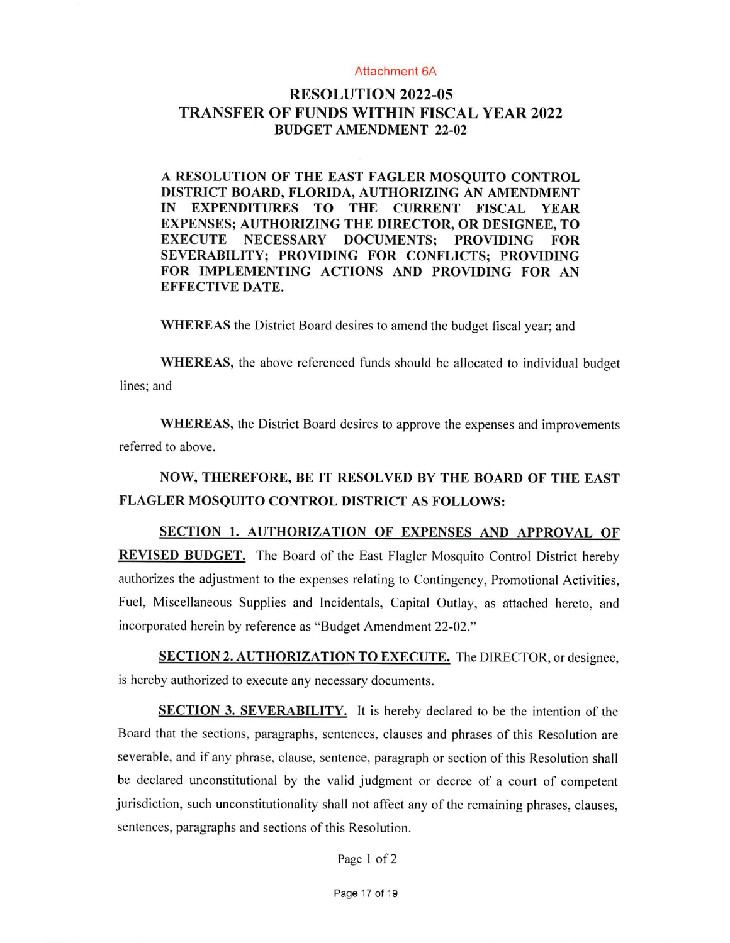### Attachment 6A

## RESOLUTION 2022-05 TRANSFER OF FUNDS WITHIN FISCAL YEAR 2022 BUDGET AMENDMENT 22-02

A RESOLUTION OF THE EAST FAGLER MOSQUITO CONTROL DISTRICT BOARD, FLORIDA, AUTHORIZING AN AMENDMENT IN EXPENDITURES TO THE CURRENT FISCAL YEAR EXPENSES; AUTHORIZING THE DIRECTOR, OR DESIGNEE, TO DOCUMENTS; PROVIDING FOR SEVERABILITY; PROVIDING FOR CONFLICTS; PROVIDING FOR IMPLEMENTING ACTIONS AND PROVIDING FOR AN EFFECTIVE DATE.

WHEREAS the District Board desires to amend the budget fiscal year; and

WHEREAS, the above referenced funds should be allocated to individual budget lines; and

WHEREAS, the District Board desires to approve the expenses and improvements referred to above.

# NOW, THEREFORE, BE IT RESOLVED BY THE BOARD OF THE EAST FLAGLER MOSQUITO CONTROL DISTRICT AS FOLLOWS:

SECTION 1. AUTHORIZATION OF EXPENSES AND APPROVAL OF REVISED BUDGET. The Board of the East Flagler Mosquito Control District hereby authorizes the adjustment to the expenses relating to Contingency, Promotional Activities, Fuel, Miscellaneous Supplies and Incidentals, Capital Outlay, as attached hereto, and incorporated herein by reference as "Budget Amendment 22-02."

SECTION 2. AUTHORIZATION TO EXECUTE. The DIRECTOR, or designee, is hereby authorized to execute any necessary documents.

**SECTION 3. SEVERABILITY.** It is hereby declared to be the intention of the Board that the sections, paragraphs, sentences, clauses and phrases of this Resolution are severable, and if any phrase, clause, sentence, paragraph or section of this Resolution shall be declared unconstitutional by the valid judgment or decree of a court of competent jurisdiction, such unconstitutionality shall not affect any of the remaining phrases, clauses, sentences, paragraphs and sections of this Resolution.

Page 1 of 2

Page 17 of 19